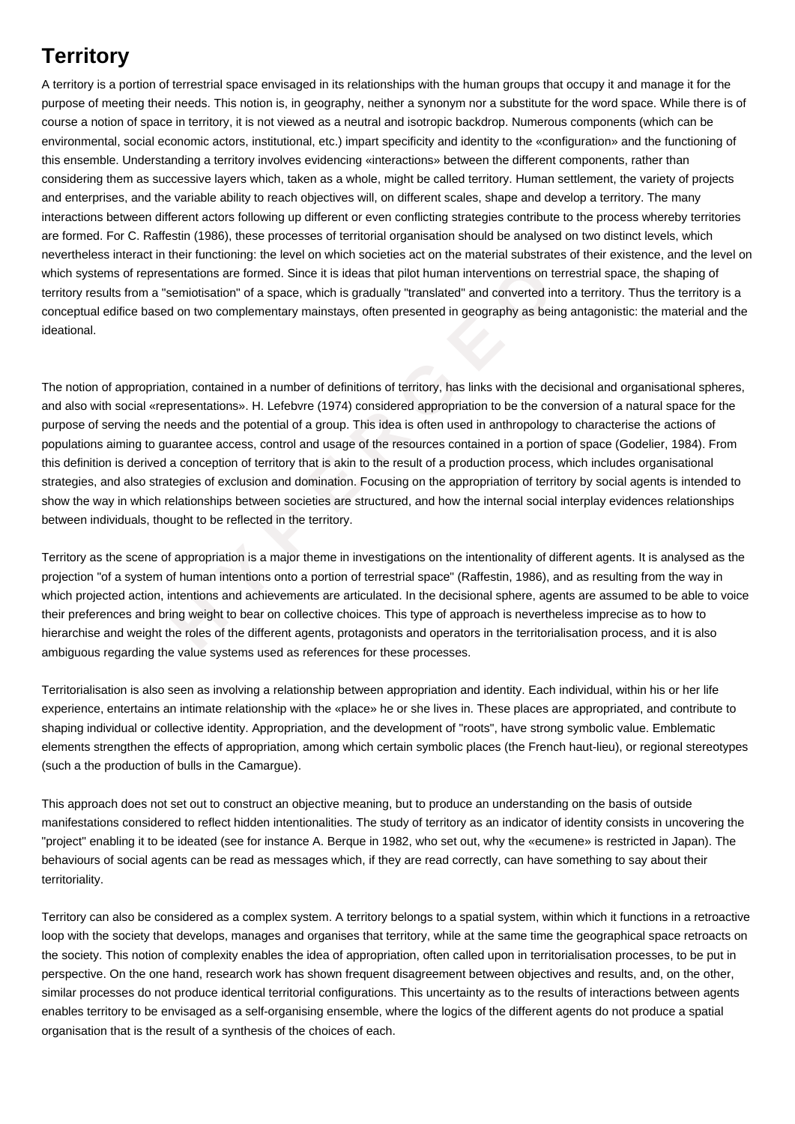## **Territory**

A territory is a portion of terrestrial space envisaged in its relationships with the human groups that occupy it and manage it for the purpose of meeting their needs. This notion is, in geography, neither a synonym nor a substitute for the word space. While there is of course a notion of space in territory, it is not viewed as a neutral and isotropic backdrop. Numerous components (which can be environmental, social economic actors, institutional, etc.) impart specificity and identity to the «configuration» and the functioning of this ensemble. Understanding a territory involves evidencing «interactions» between the different components, rather than considering them as successive layers which, taken as a whole, might be called territory. Human settlement, the variety of projects and enterprises, and the variable ability to reach objectives will, on different scales, shape and develop a territory. The many interactions between different actors following up different or even conflicting strategies contribute to the process whereby territories are formed. For C. Raffestin (1986), these processes of territorial organisation should be analysed on two distinct levels, which nevertheless interact in their functioning: the level on which societies act on the material substrates of their existence, and the level on which systems of representations are formed. Since it is ideas that pilot human interventions on terrestrial space, the shaping of territory results from a "semiotisation" of a space, which is gradually "translated" and converted into a territory. Thus the territory is a conceptual edifice based on two complementary mainstays, often presented in geography as being antagonistic: the material and the ideational.

**Example 1 Example 1 Example 1 Example 1 Example 1 Example 1 Example 1 Example 1 C Example 1 C Example 1 C Example 1 C Example 1 C Example 1 C Example 1 C Example 1 C Example 1** The notion of appropriation, contained in a number of definitions of territory, has links with the decisional and organisational spheres, and also with social «representations». H. Lefebvre (1974) considered appropriation to be the conversion of a natural space for the purpose of serving the needs and the potential of a group. This idea is often used in anthropology to characterise the actions of populations aiming to guarantee access, control and usage of the resources contained in a portion of space (Godelier, 1984). From this definition is derived a conception of territory that is akin to the result of a production process, which includes organisational strategies, and also strategies of exclusion and domination. Focusing on the appropriation of territory by social agents is intended to show the way in which relationships between societies are structured, and how the internal social interplay evidences relationships between individuals, thought to be reflected in the territory.

Territory as the scene of appropriation is a major theme in investigations on the intentionality of different agents. It is analysed as the projection "of a system of human intentions onto a portion of terrestrial space" (Raffestin, 1986), and as resulting from the way in which projected action, intentions and achievements are articulated. In the decisional sphere, agents are assumed to be able to voice their preferences and bring weight to bear on collective choices. This type of approach is nevertheless imprecise as to how to hierarchise and weight the roles of the different agents, protagonists and operators in the territorialisation process, and it is also ambiguous regarding the value systems used as references for these processes.

Territorialisation is also seen as involving a relationship between appropriation and identity. Each individual, within his or her life experience, entertains an intimate relationship with the «place» he or she lives in. These places are appropriated, and contribute to shaping individual or collective identity. Appropriation, and the development of "roots", have strong symbolic value. Emblematic elements strengthen the effects of appropriation, among which certain symbolic places (the French haut-lieu), or regional stereotypes (such a the production of bulls in the Camargue).

This approach does not set out to construct an objective meaning, but to produce an understanding on the basis of outside manifestations considered to reflect hidden intentionalities. The study of territory as an indicator of identity consists in uncovering the "project" enabling it to be ideated (see for instance A. Berque in 1982, who set out, why the «ecumene» is restricted in Japan). The behaviours of social agents can be read as messages which, if they are read correctly, can have something to say about their territoriality.

Territory can also be considered as a complex system. A territory belongs to a spatial system, within which it functions in a retroactive loop with the society that develops, manages and organises that territory, while at the same time the geographical space retroacts on the society. This notion of complexity enables the idea of appropriation, often called upon in territorialisation processes, to be put in perspective. On the one hand, research work has shown frequent disagreement between objectives and results, and, on the other, similar processes do not produce identical territorial configurations. This uncertainty as to the results of interactions between agents enables territory to be envisaged as a self-organising ensemble, where the logics of the different agents do not produce a spatial organisation that is the result of a synthesis of the choices of each.